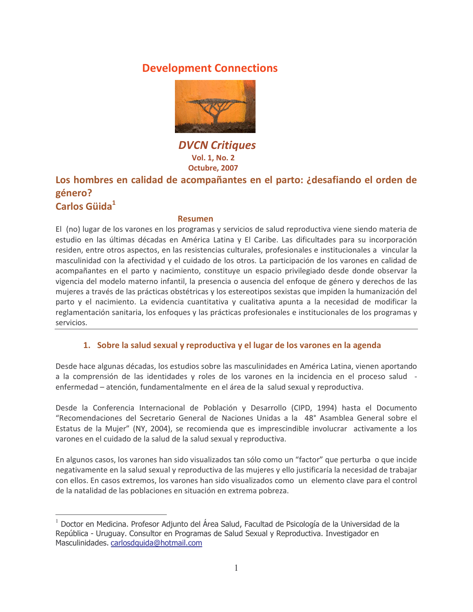# **Development Connections**



**DVCN Critiques Vol. 1, No. 2** Octubre, 2007

Los hombres en calidad de acompañantes en el parto: ¿desafiando el orden de género?

Carlos Güida<sup>1</sup>

#### **Resumen**

El (no) lugar de los varones en los programas y servicios de salud reproductiva viene siendo materia de estudio en las últimas décadas en América Latina y El Caribe. Las dificultades para su incorporación residen, entre otros aspectos, en las resistencias culturales, profesionales e institucionales a vincular la masculinidad con la afectividad y el cuidado de los otros. La participación de los varones en calidad de acompañantes en el parto y nacimiento, constituye un espacio privilegiado desde donde observar la vigencia del modelo materno infantil, la presencia o ausencia del enfoque de género y derechos de las mujeres a través de las prácticas obstétricas y los estereotipos sexistas que impiden la humanización del parto y el nacimiento. La evidencia cuantitativa y cualitativa apunta a la necesidad de modificar la reglamentación sanitaria, los enfoques y las prácticas profesionales e institucionales de los programas y servicios.

# 1. Sobre la salud sexual y reproductiva y el lugar de los varones en la agenda

Desde hace algunas décadas, los estudios sobre las masculinidades en América Latina, vienen aportando a la comprensión de las identidades y roles de los varones en la incidencia en el proceso salud enfermedad – atención, fundamentalmente en el área de la salud sexual y reproductiva.

Desde la Conferencia Internacional de Población y Desarrollo (CIPD, 1994) hasta el Documento "Recomendaciones del Secretario General de Naciones Unidas a la 48° Asamblea General sobre el Estatus de la Mujer" (NY, 2004), se recomienda que es imprescindible involucrar activamente a los varones en el cuidado de la salud de la salud sexual y reproductiva.

En algunos casos, los varones han sido visualizados tan sólo como un "factor" que perturba o que incide negativamente en la salud sexual y reproductiva de las mujeres y ello justificaría la necesidad de trabajar con ellos. En casos extremos, los varones han sido visualizados como un elemento clave para el control de la natalidad de las poblaciones en situación en extrema pobreza.

<sup>&</sup>lt;sup>1</sup> Doctor en Medicina. Profesor Adjunto del Área Salud, Facultad de Psicología de la Universidad de la República - Uruguay. Consultor en Programas de Salud Sexual y Reproductiva. Investigador en Masculinidades. carlosdquida@hotmail.com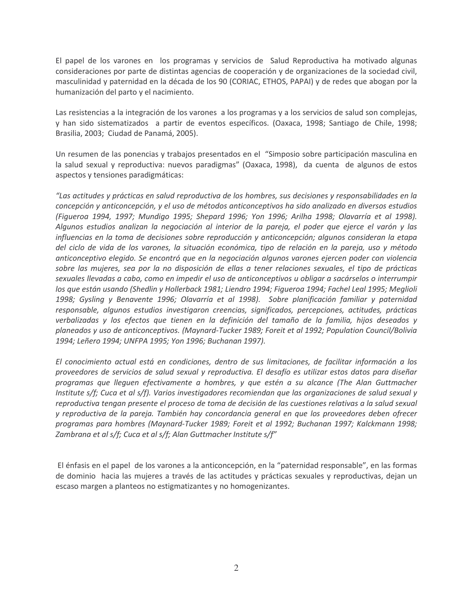El papel de los varones en los programas y servicios de Salud Reproductiva ha motivado algunas consideraciones por parte de distintas agencias de cooperación y de organizaciones de la sociedad civil, masculinidad y paternidad en la década de los 90 (CORIAC, ETHOS, PAPAI) y de redes que abogan por la humanización del parto y el nacimiento.

Las resistencias a la integración de los varones a los programas y a los servicios de salud son complejas, y han sido sistematizados a partir de eventos específicos. (Oaxaca, 1998; Santiago de Chile, 1998; Brasilia, 2003; Ciudad de Panamá, 2005).

Un resumen de las ponencias y trabajos presentados en el "Simposio sobre participación masculina en la salud sexual y reproductiva: nuevos paradigmas" (Oaxaca, 1998), da cuenta de algunos de estos aspectos y tensiones paradigmáticas:

"Las actitudes y prácticas en salud reproductiva de los hombres, sus decisiones y responsabilidades en la concepción y anticoncepción, y el uso de métodos anticonceptivos ha sido analizado en diversos estudios (Figueroa 1994, 1997; Mundigo 1995; Shepard 1996; Yon 1996; Arilha 1998; Olavarría et al 1998). Algunos estudios analizan la negociación al interior de la pareja, el poder que ejerce el varón y las influencias en la toma de decisiones sobre reproducción y anticoncepción; algunos consideran la etapa del ciclo de vida de los varones, la situación económica, tipo de relación en la pareja, uso y método anticonceptivo elegido. Se encontró que en la negociación algunos varones ejercen poder con violencia sobre las mujeres, sea por la no disposición de ellas a tener relaciones sexuales, el tipo de prácticas sexuales llevadas a cabo, como en impedir el uso de anticonceptivos u obligar a sacárselos o interrumpir los que están usando (Shedlin y Hollerback 1981; Liendro 1994; Figueroa 1994; Fachel Leal 1995; Meglioli 1998; Gysling y Benavente 1996; Olavarría et al 1998). Sobre planificación familiar y paternidad responsable, algunos estudios investigaron creencias, significados, percepciones, actitudes, prácticas verbalizadas y los efectos que tienen en la definición del tamaño de la familia, hijos deseados y planeados y uso de anticonceptivos. (Maynard-Tucker 1989; Foreit et al 1992; Population Council/Bolivia 1994; Leñero 1994; UNFPA 1995; Yon 1996; Buchanan 1997).

El conocimiento actual está en condiciones, dentro de sus limitaciones, de facilitar información a los proveedores de servicios de salud sexual y reproductiva. El desafío es utilizar estos datos para diseñar programas que lleguen efectivamente a hombres, y que estén a su alcance (The Alan Guttmacher Institute s/f; Cuca et al s/f). Varios investigadores recomiendan que las organizaciones de salud sexual y reproductiva tengan presente el proceso de toma de decisión de las cuestiones relativas a la salud sexual y reproductiva de la pareja. También hay concordancia general en que los proveedores deben ofrecer programas para hombres (Maynard-Tucker 1989; Foreit et al 1992; Buchanan 1997; Kalckmann 1998; Zambrana et al s/f; Cuca et al s/f; Alan Guttmacher Institute s/f"

El énfasis en el papel de los varones a la anticoncepción, en la "paternidad responsable", en las formas de dominio hacia las mujeres a través de las actitudes y prácticas sexuales y reproductivas, dejan un escaso margen a planteos no estigmatizantes y no homogenizantes.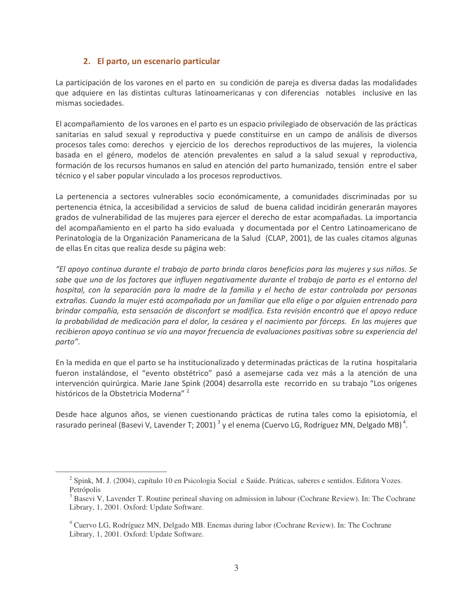### 2. El parto, un escenario particular

La participación de los varones en el parto en su condición de pareja es diversa dadas las modalidades que adquiere en las distintas culturas latinoamericanas y con diferencias notables inclusive en las mismas sociedades.

El acompañamiento de los varones en el parto es un espacio privilegiado de observación de las prácticas sanitarias en salud sexual y reproductiva y puede constituirse en un campo de análisis de diversos procesos tales como: derechos y ejercicio de los derechos reproductivos de las mujeres, la violencia basada en el género, modelos de atención prevalentes en salud a la salud sexual y reproductiva, formación de los recursos humanos en salud en atención del parto humanizado, tensión entre el saber técnico y el saber popular vinculado a los procesos reproductivos.

La pertenencia a sectores vulnerables socio económicamente, a comunidades discriminadas por su pertenencia étnica, la accesibilidad a servicios de salud de buena calidad incidirán generarán mayores grados de vulnerabilidad de las mujeres para ejercer el derecho de estar acompañadas. La importancia del acompañamiento en el parto ha sido evaluada y documentada por el Centro Latinoamericano de Perinatología de la Organización Panamericana de la Salud (CLAP, 2001), de las cuales citamos algunas de ellas En citas que realiza desde su página web:

"El apoyo continuo durante el trabajo de parto brinda claros beneficios para las mujeres y sus niños. Se sabe que uno de los factores que influyen negativamente durante el trabajo de parto es el entorno del hospital, con la separación para la madre de la familia y el hecho de estar controlada por personas extrañas. Cuando la mujer está acompañada por un familiar que ella elige o por alguien entrenado para brindar compañía, esta sensación de disconfort se modifica. Esta revisión encontró que el apoyo reduce la probabilidad de medicación para el dolor, la cesárea y el nacimiento por fórceps. En las mujeres que recibieron apoyo continuo se vio una mayor frecuencia de evaluaciones positivas sobre su experiencia del parto".

En la medida en que el parto se ha institucionalizado y determinadas prácticas de la rutina hospitalaria fueron instalándose, el "evento obstétrico" pasó a asemejarse cada vez más a la atención de una intervención quirúrgica. Marie Jane Spink (2004) desarrolla este recorrido en su trabajo "Los orígenes históricos de la Obstetricia Moderna"<sup>2</sup>

Desde hace algunos años, se vienen cuestionando prácticas de rutina tales como la episiotomía, el rasurado perineal (Basevi V, Lavender T; 2001)<sup>3</sup> y el enema (Cuervo LG, Rodríguez MN, Delgado MB)<sup>4</sup>.

<sup>&</sup>lt;sup>2</sup> Spink, M. J. (2004), capítulo 10 en Psicologia Social e Saúde. Práticas, saberes e sentidos. Editora Vozes. Petrópolis

<sup>&</sup>lt;sup>3</sup> Basevi V, Lavender T. Routine perineal shaving on admission in labour (Cochrane Review). In: The Cochrane Library, 1, 2001. Oxford: Update Software.

<sup>&</sup>lt;sup>4</sup> Cuervo LG, Rodríguez MN, Delgado MB. Enemas during labor (Cochrane Review). In: The Cochrane Library, 1, 2001. Oxford: Update Software.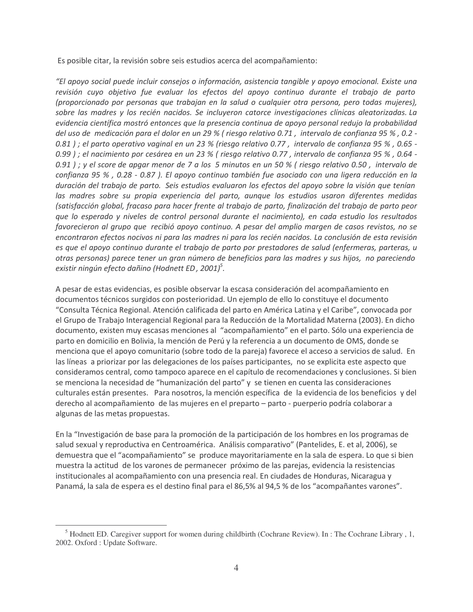Es posible citar, la revisión sobre seis estudios acerca del acompañamiento:

"El apoyo social puede incluir consejos o información, asistencia tangible y apoyo emocional. Existe una revisión cuyo objetivo fue evaluar los efectos del apoyo continuo durante el trabajo de parto (proporcionado por personas que trabajan en la salud o cualquier otra persona, pero todas mujeres), sobre las madres y los recién nacidos. Se incluyeron catorce investigaciones clínicas aleatorizadas. La evidencia científica mostró entonces que la presencia continua de apoyo personal redujo la probabilidad del uso de medicación para el dolor en un 29 % (riesgo relativo 0.71, intervalo de confianza 95 %, 0.2 -0.81); el parto operativo vaginal en un 23 % (riesgo relativo 0.77, intervalo de confianza 95 %, 0.65 -0.99); el nacimiento por cesárea en un 23 % (riesgo relativo 0.77, intervalo de confianza 95 %, 0.64 -0.91); y el score de apgar menor de 7 a los 5 minutos en un 50 % ( riesgo relativo 0.50, intervalo de confianza 95 %, 0.28 - 0.87). El apoyo continuo también fue asociado con una ligera reducción en la duración del trabajo de parto. Seis estudios evaluaron los efectos del apoyo sobre la visión que tenían las madres sobre su propia experiencia del parto, aunque los estudios usaron diferentes medidas (satisfacción global, fracaso para hacer frente al trabajo de parto, finalización del trabajo de parto peor que lo esperado y niveles de control personal durante el nacimiento), en cada estudio los resultados favorecieron al grupo que recibió apoyo continuo. A pesar del amplio margen de casos revistos, no se encontraron efectos nocivos ni para las madres ni para los recién nacidos. La conclusión de esta revisión es que el apoyo continuo durante el trabajo de parto por prestadores de salud (enfermeras, parteras, u otras personas) parece tener un gran número de beneficios para las madres y sus hijos, no pareciendo existir ningún efecto dañino (Hodnett ED, 2001)<sup>5</sup>.

A pesar de estas evidencias, es posible observar la escasa consideración del acompañamiento en documentos técnicos surgidos con posterioridad. Un ejemplo de ello lo constituye el documento "Consulta Técnica Regional. Atención calificada del parto en América Latina y el Caribe", convocada por el Grupo de Trabajo Interagencial Regional para la Reducción de la Mortalidad Materna (2003). En dicho documento, existen muy escasas menciones al "acompañamiento" en el parto. Sólo una experiencia de parto en domicilio en Bolivia, la mención de Perú y la referencia a un documento de OMS, donde se menciona que el apoyo comunitario (sobre todo de la pareja) favorece el acceso a servicios de salud. En las líneas a priorizar por las delegaciones de los países participantes, no se explicita este aspecto que consideramos central, como tampoco aparece en el capítulo de recomendaciones y conclusiones. Si bien se menciona la necesidad de "humanización del parto" y se tienen en cuenta las consideraciones culturales están presentes. Para nosotros, la mención específica de la evidencia de los beneficios y del derecho al acompañamiento de las mujeres en el preparto - parto - puerperio podría colaborar a algunas de las metas propuestas.

En la "Investigación de base para la promoción de la participación de los hombres en los programas de salud sexual y reproductiva en Centroamérica. Análisis comparativo" (Pantelides, E. et al, 2006), se demuestra que el "acompañamiento" se produce mayoritariamente en la sala de espera. Lo que si bien muestra la actitud de los varones de permanecer próximo de las parejas, evidencia la resistencias institucionales al acompañamiento con una presencia real. En ciudades de Honduras, Nicaragua y Panamá, la sala de espera es el destino final para el 86,5% al 94,5 % de los "acompañantes varones".

 $<sup>5</sup>$  Hodnett ED. Caregiver support for women during childbirth (Cochrane Review). In : The Cochrane Library, 1,</sup> 2002. Oxford : Update Software.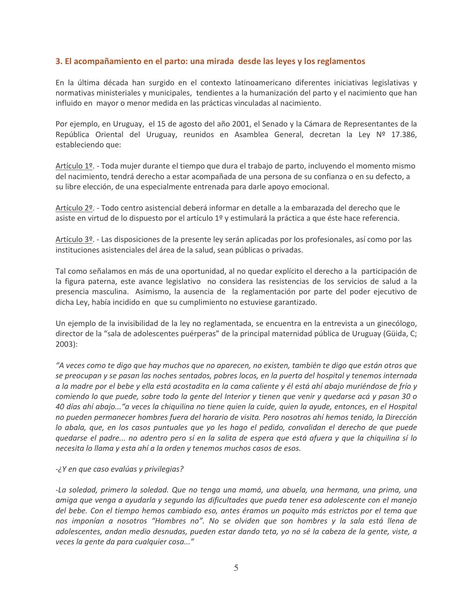## 3. El acompañamiento en el parto: una mirada desde las leyes y los reglamentos

En la última década han surgido en el contexto latinoamericano diferentes iniciativas legislativas y normativas ministeriales y municipales, tendientes a la humanización del parto y el nacimiento que han influido en mayor o menor medida en las prácticas vinculadas al nacimiento.

Por ejemplo, en Uruguay, el 15 de agosto del año 2001, el Senado y la Cámara de Representantes de la República Oriental del Uruguay, reunidos en Asamblea General, decretan la Ley Nº 17.386, estableciendo que:

Artículo 1º. - Toda mujer durante el tiempo que dura el trabajo de parto, incluyendo el momento mismo del nacimiento, tendrá derecho a estar acompañada de una persona de su confianza o en su defecto, a su libre elección, de una especialmente entrenada para darle apoyo emocional.

Artículo 2º. - Todo centro asistencial deberá informar en detalle a la embarazada del derecho que le asiste en virtud de lo dispuesto por el artículo 1º y estimulará la práctica a que éste hace referencia.

Artículo 3º. - Las disposiciones de la presente ley serán aplicadas por los profesionales, así como por las instituciones asistenciales del área de la salud, sean públicas o privadas.

Tal como señalamos en más de una oportunidad, al no quedar explícito el derecho a la participación de la figura paterna, este avance legislativo no considera las resistencias de los servicios de salud a la presencia masculina. Asimismo, la ausencia de la reglamentación por parte del poder ejecutivo de dicha Ley, había incidido en que su cumplimiento no estuviese garantizado.

Un ejemplo de la invisibilidad de la ley no reglamentada, se encuentra en la entrevista a un ginecólogo, director de la "sala de adolescentes puérperas" de la principal maternidad pública de Uruguay (Güida, C;  $2003$ :

"A veces como te digo que hay muchos que no aparecen, no existen, también te digo que están otros que se preocupan y se pasan las noches sentados, pobres locos, en la puerta del hospital y tenemos internada a la madre por el bebe y ella está acostadita en la cama caliente y él está ahí abajo muriéndose de frío y comiendo lo que puede, sobre todo la gente del Interior y tienen que venir y quedarse acá y pasan 30 o 40 días ahí abajo... "a veces la chiquilina no tiene quien la cuide, quien la ayude, entonces, en el Hospital no pueden permanecer hombres fuera del horario de visita. Pero nosotros ahí hemos tenido, la Dirección lo abala, que, en los casos puntuales que yo les hago el pedido, convalidan el derecho de que puede quedarse el padre... no adentro pero sí en la salita de espera que está afuera y que la chiquilina sí lo necesita lo llama y esta ahí a la orden y tenemos muchos casos de esos.

#### -¿Y en que caso evalúas y privilegias?

-La soledad, primero la soledad. Que no tenga una mamá, una abuela, una hermana, una prima, una amiga que venga a ayudarla y segundo las dificultades que pueda tener esa adolescente con el manejo del bebe. Con el tiempo hemos cambiado eso, antes éramos un poquito más estrictos por el tema que nos imponían a nosotros "Hombres no". No se olviden que son hombres y la sala está llena de adolescentes, andan medio desnudas, pueden estar dando teta, yo no sé la cabeza de la gente, viste, a veces la gente da para cualquier cosa..."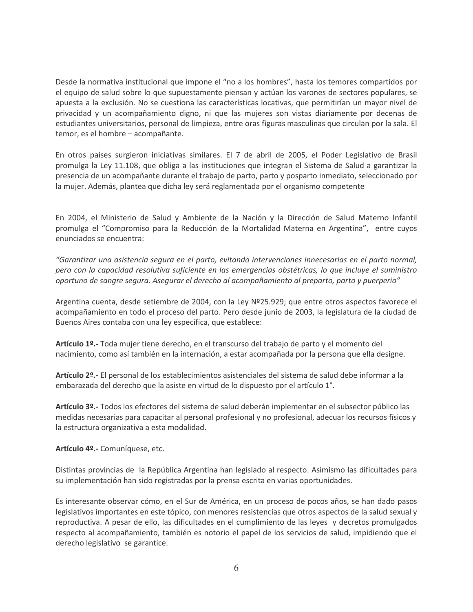Desde la normativa institucional que impone el "no a los hombres", hasta los temores compartidos por el equipo de salud sobre lo que supuestamente piensan y actúan los varones de sectores populares, se apuesta a la exclusión. No se cuestiona las características locativas, que permitirían un mayor nivel de privacidad y un acompañamiento digno, ni que las mujeres son vistas diariamente por decenas de estudiantes universitarios, personal de limpieza, entre oras figuras masculinas que circulan por la sala. El temor, es el hombre - acompañante.

En otros países surgieron iniciativas similares. El 7 de abril de 2005, el Poder Legislativo de Brasil promulga la Ley 11.108, que obliga a las instituciones que integran el Sistema de Salud a garantizar la presencia de un acompañante durante el trabajo de parto, parto y posparto inmediato, seleccionado por la mujer. Además, plantea que dicha ley será reglamentada por el organismo competente

En 2004, el Ministerio de Salud y Ambiente de la Nación y la Dirección de Salud Materno Infantil promulga el "Compromiso para la Reducción de la Mortalidad Materna en Argentina", entre cuyos enunciados se encuentra:

"Garantizar una asistencia segura en el parto, evitando intervenciones innecesarias en el parto normal, pero con la capacidad resolutiva suficiente en las emergencias obstétricas, lo que incluye el suministro oportuno de sangre segura. Asegurar el derecho al acompañamiento al preparto, parto y puerperio"

Argentina cuenta, desde setiembre de 2004, con la Ley Nº25.929; que entre otros aspectos favorece el acompañamiento en todo el proceso del parto. Pero desde junio de 2003, la legislatura de la ciudad de Buenos Aires contaba con una ley específica, que establece:

Artículo 1º .- Toda mujer tiene derecho, en el transcurso del trabajo de parto y el momento del nacimiento, como así también en la internación, a estar acompañada por la persona que ella designe.

Artículo 2º -- El personal de los establecimientos asistenciales del sistema de salud debe informar a la embarazada del derecho que la asiste en virtud de lo dispuesto por el artículo 1°.

Artículo 3º .- Todos los efectores del sistema de salud deberán implementar en el subsector público las medidas necesarias para capacitar al personal profesional y no profesional, adecuar los recursos físicos y la estructura organizativa a esta modalidad.

Artículo 4º .- Comuníquese, etc.

Distintas provincias de la República Argentina han legislado al respecto. Asimismo las dificultades para su implementación han sido registradas por la prensa escrita en varias oportunidades.

Es interesante observar cómo, en el Sur de América, en un proceso de pocos años, se han dado pasos legislativos importantes en este tópico, con menores resistencias que otros aspectos de la salud sexual y reproductiva. A pesar de ello, las dificultades en el cumplimiento de las leyes y decretos promulgados respecto al acompañamiento, también es notorio el papel de los servicios de salud, impidiendo que el derecho legislativo se garantice.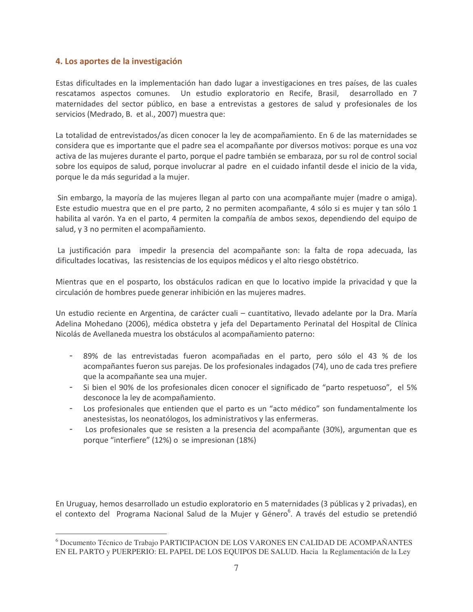## 4. Los aportes de la investigación

Estas dificultades en la implementación han dado lugar a investigaciones en tres países, de las cuales rescatamos aspectos comunes. Un estudio exploratorio en Recife, Brasil, desarrollado en 7 maternidades del sector público, en base a entrevistas a gestores de salud y profesionales de los servicios (Medrado, B. et al., 2007) muestra que:

La totalidad de entrevistados/as dicen conocer la ley de acompañamiento. En 6 de las maternidades se considera que es importante que el padre sea el acompañante por diversos motivos: porque es una voz activa de las mujeres durante el parto, porque el padre también se embaraza, por su rol de control social sobre los equipos de salud, porque involucrar al padre en el cuidado infantil desde el inicio de la vida, porque le da más seguridad a la mujer.

Sin embargo, la mayoría de las mujeres llegan al parto con una acompañante mujer (madre o amiga). Este estudio muestra que en el pre parto, 2 no permiten acompañante, 4 sólo si es mujer y tan sólo 1 habilita al varón. Ya en el parto, 4 permiten la compañía de ambos sexos, dependiendo del equipo de salud, y 3 no permiten el acompañamiento.

La justificación para impedir la presencia del acompañante son: la falta de ropa adecuada, las dificultades locativas, las resistencias de los equipos médicos y el alto riesgo obstétrico.

Mientras que en el posparto, los obstáculos radican en que lo locativo impide la privacidad y que la circulación de hombres puede generar inhibición en las mujeres madres.

Un estudio reciente en Argentina, de carácter cuali - cuantitativo, llevado adelante por la Dra. María Adelina Mohedano (2006), médica obstetra y jefa del Departamento Perinatal del Hospital de Clínica Nicolás de Avellaneda muestra los obstáculos al acompañamiento paterno:

- 89% de las entrevistadas fueron acompañadas en el parto, pero sólo el 43 % de los acompañantes fueron sus parejas. De los profesionales indagados (74), uno de cada tres prefiere que la acompañante sea una mujer.
- Si bien el 90% de los profesionales dicen conocer el significado de "parto respetuoso", el 5% desconoce la ley de acompañamiento.
- Los profesionales que entienden que el parto es un "acto médico" son fundamentalmente los anestesistas, los neonatólogos, los administrativos y las enfermeras.
- Los profesionales que se resisten a la presencia del acompañante (30%), argumentan que es  $\,$ porque "interfiere" (12%) o se impresionan (18%)

En Uruguay, hemos desarrollado un estudio exploratorio en 5 maternidades (3 públicas y 2 privadas), en el contexto del Programa Nacional Salud de la Mujer y Género<sup>6</sup>. A través del estudio se pretendió

<sup>&</sup>lt;sup>6</sup> Documento Técnico de Trabajo PARTICIPACION DE LOS VARONES EN CALIDAD DE ACOMPAÑANTES EN EL PARTO y PUERPERIO: EL PAPEL DE LOS EQUIPOS DE SALUD. Hacia la Reglamentación de la Ley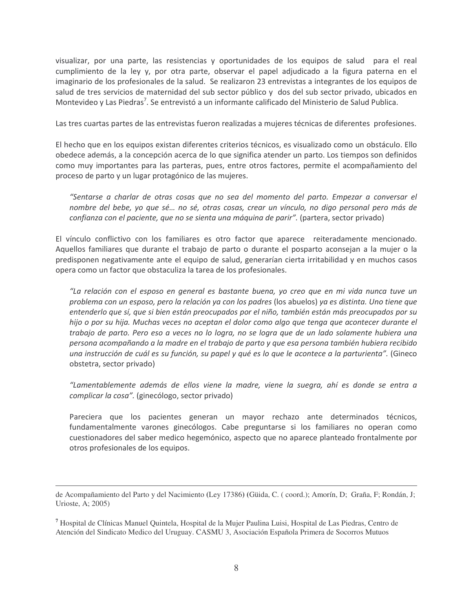visualizar, por una parte, las resistencias y oportunidades de los equipos de salud para el real cumplimiento de la ley y, por otra parte, observar el papel adjudicado a la figura paterna en el imaginario de los profesionales de la salud. Se realizaron 23 entrevistas a integrantes de los equipos de salud de tres servicios de maternidad del sub sector público y dos del sub sector privado, ubicados en Montevideo y Las Piedras<sup>7</sup>. Se entrevistó a un informante calificado del Ministerio de Salud Publica.

Las tres cuartas partes de las entrevistas fueron realizadas a mujeres técnicas de diferentes profesiones.

El hecho que en los equipos existan diferentes criterios técnicos, es visualizado como un obstáculo. Ello obedece además, a la concepción acerca de lo que significa atender un parto. Los tiempos son definidos como muy importantes para las parteras, pues, entre otros factores, permite el acompañamiento del proceso de parto y un lugar protagónico de las mujeres.

"Sentarse a charlar de otras cosas que no sea del momento del parto. Empezar a conversar el nombre del bebe, yo que sé... no sé, otras cosas, crear un vínculo, no digo personal pero más de confianza con el paciente, que no se sienta una máquina de parir". (partera, sector privado)

El vínculo conflictivo con los familiares es otro factor que aparece reiteradamente mencionado. Aquellos familiares que durante el trabajo de parto o durante el posparto aconsejan a la mujer o la predisponen negativamente ante el equipo de salud, generarían cierta irritabilidad y en muchos casos opera como un factor que obstaculiza la tarea de los profesionales.

"La relación con el esposo en general es bastante buena, yo creo que en mi vida nunca tuve un problema con un esposo, pero la relación ya con los padres (los abuelos) ya es distinta. Uno tiene que entenderlo que sí, que si bien están preocupados por el niño, también están más preocupados por su hijo o por su hija. Muchas veces no aceptan el dolor como algo que tenga que acontecer durante el trabajo de parto. Pero eso a veces no lo logra, no se logra que de un lado solamente hubiera una persona acompañando a la madre en el trabajo de parto y que esa persona también hubiera recibido una instrucción de cuál es su función, su papel y qué es lo que le acontece a la parturienta". (Gineco obstetra, sector privado)

"Lamentablemente además de ellos viene la madre, viene la suegra, ahí es donde se entra a complicar la cosa". (ginecólogo, sector privado)

Pareciera que los pacientes generan un mayor rechazo ante determinados técnicos, fundamentalmente varones ginecólogos. Cabe preguntarse si los familiares no operan como cuestionadores del saber medico hegemónico, aspecto que no aparece planteado frontalmente por otros profesionales de los equipos.

de Acompañamiento del Parto y del Nacimiento **(**Ley 17386**) (**Güida, C. ( coord.); Amorín, D; Graña, F; Rondán, J; Urioste, A; 2005)

**<sup>7</sup>** Hospital de Clínicas Manuel Quintela, Hospital de la Mujer Paulina Luisi, Hospital de Las Piedras, Centro de Atención del Sindicato Medico del Uruguay. CASMU 3, Asociación Española Primera de Socorros Mutuos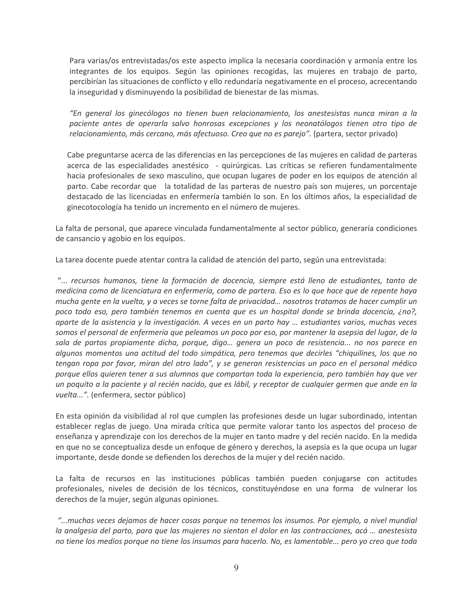Para varias/os entrevistadas/os este aspecto implica la necesaria coordinación y armonía entre los integrantes de los equipos. Según las opiniones recogidas, las mujeres en trabajo de parto, percibirían las situaciones de conflicto y ello redundaría negativamente en el proceso, acrecentando la inseguridad y disminuyendo la posibilidad de bienestar de las mismas.

"En general los ginecólogos no tienen buen relacionamiento, los anestesistas nunca miran a la paciente antes de operarla salvo honrosas excepciones y los neonatólogos tienen otro tipo de relacionamiento, más cercano, más afectuoso. Creo que no es parejo". (partera, sector privado)

Cabe preguntarse acerca de las diferencias en las percepciones de las mujeres en calidad de parteras acerca de las especialidades anestésico - quirúrgicas. Las críticas se refieren fundamentalmente hacia profesionales de sexo masculino, que ocupan lugares de poder en los equipos de atención al parto. Cabe recordar que la totalidad de las parteras de nuestro país son mujeres, un porcentaje destacado de las licenciadas en enfermería también lo son. En los últimos años, la especialidad de ginecotocología ha tenido un incremento en el número de mujeres.

La falta de personal, que aparece vinculada fundamentalmente al sector público, generaría condiciones de cansancio y agobio en los equipos.

La tarea docente puede atentar contra la calidad de atención del parto, según una entrevistada:

"... recursos humanos, tiene la formación de docencia, siempre está lleno de estudiantes, tanto de medicina como de licenciatura en enfermería, como de partera. Eso es lo que hace que de repente haya mucha gente en la vuelta, y a veces se torne falta de privacidad... nosotros tratamos de hacer cumplir un poco todo eso, pero también tenemos en cuenta que es un hospital donde se brinda docencia, ¿no?, aparte de la asistencia y la investigación. A veces en un parto hay ... estudiantes varios, muchas veces somos el personal de enfermería que peleamos un poco por eso, por mantener la asepsia del lugar, de la sala de partos propiamente dicha, porque, digo... genera un poco de resistencia... no nos parece en algunos momentos una actitud del todo simpática, pero tenemos que decirles "chiquilines, los que no tengan ropa por favor, miran del otro lado", y se generan resistencias un poco en el personal médico porque ellos quieren tener a sus alumnos que compartan toda la experiencia, pero también hay que ver un poquito a la paciente y al recién nacido, que es lábil, y receptor de cualquier germen que ande en la vuelta...". (enfermera, sector público)

En esta opinión da visibilidad al rol que cumplen las profesiones desde un lugar subordinado, intentan establecer reglas de juego. Una mirada crítica que permite valorar tanto los aspectos del proceso de enseñanza y aprendizaje con los derechos de la mujer en tanto madre y del recién nacido. En la medida en que no se conceptualiza desde un enfoque de género y derechos, la asepsia es la que ocupa un lugar importante, desde donde se defienden los derechos de la mujer y del recién nacido.

La falta de recursos en las instituciones públicas también pueden conjugarse con actitudes profesionales, niveles de decisión de los técnicos, constituyéndose en una forma de vulnerar los derechos de la mujer, según algunas opiniones.

"...muchas veces dejamos de hacer cosas porque no tenemos los insumos. Por ejemplo, a nivel mundial la analgesia del parto, para que las mujeres no sientan el dolor en las contracciones, acá ... anestesista no tiene los medios porque no tiene los insumos para hacerlo. No, es lamentable... pero yo creo que toda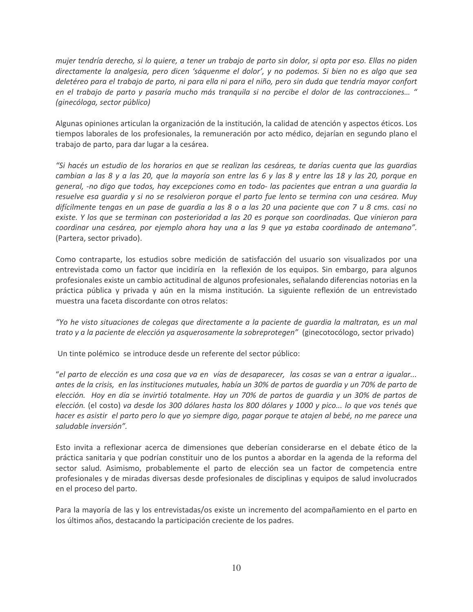mujer tendría derecho, si lo quiere, a tener un trabajo de parto sin dolor, si opta por eso. Ellas no piden directamente la analgesia, pero dicen 'sáquenme el dolor', y no podemos. Si bien no es algo que sea deletéreo para el trabajo de parto, ni para ella ni para el niño, pero sin duda que tendría mayor confort en el trabajo de parto y pasaría mucho más tranquila si no percibe el dolor de las contracciones..." (ginecóloga, sector público)

Algunas opiniones articulan la organización de la institución, la calidad de atención y aspectos éticos. Los tiempos laborales de los profesionales, la remuneración por acto médico, dejarían en segundo plano el trabajo de parto, para dar lugar a la cesárea.

"Si hacés un estudio de los horarios en que se realizan las cesáreas, te darías cuenta que las quardias cambian a las 8 y a las 20, que la mayoría son entre las 6 y las 8 y entre las 18 y las 20, porque en general, -no digo que todos, hay excepciones como en todo- las pacientes que entran a una guardia la resuelve esa quardia y si no se resolvieron porque el parto fue lento se termina con una cesárea. Muy difícilmente tengas en un pase de guardia a las 8 o a las 20 una paciente que con 7 u 8 cms. casi no existe. Y los que se terminan con posterioridad a las 20 es porque son coordinadas. Que vinieron para coordinar una cesárea, por ejemplo ahora hay una a las 9 que ya estaba coordinado de antemano". (Partera, sector privado).

Como contraparte, los estudios sobre medición de satisfacción del usuario son visualizados por una entrevistada como un factor que incidiría en la reflexión de los equipos. Sin embargo, para algunos profesionales existe un cambio actitudinal de algunos profesionales, señalando diferencias notorias en la práctica pública y privada y aún en la misma institución. La siguiente reflexión de un entrevistado muestra una faceta discordante con otros relatos:

"Yo he visto situaciones de colegas que directamente a la paciente de quardia la maltratan, es un mal trato y a la paciente de elección ya asquerosamente la sobreprotegen" (ginecotocólogo, sector privado)

Un tinte polémico se introduce desde un referente del sector público:

el parto de elección es una cosa que va en vías de desaparecer, las cosas se van a entrar a igualar..." antes de la crisis, en las instituciones mutuales, había un 30% de partos de quardia y un 70% de parto de elección. Hoy en día se invirtió totalmente. Hay un 70% de partos de quardia y un 30% de partos de elección. (el costo) va desde los 300 dólares hasta los 800 dólares y 1000 y pico... lo que vos tenés que hacer es asistir el parto pero lo que yo siempre digo, pagar porque te atajen al bebé, no me parece una saludable inversión".

Esto invita a reflexionar acerca de dimensiones que deberían considerarse en el debate ético de la práctica sanitaria y que podrían constituir uno de los puntos a abordar en la agenda de la reforma del sector salud. Asimismo, probablemente el parto de elección sea un factor de competencia entre profesionales y de miradas diversas desde profesionales de disciplinas y equipos de salud involucrados en el proceso del parto.

Para la mayoría de las y los entrevistadas/os existe un incremento del acompañamiento en el parto en los últimos años, destacando la participación creciente de los padres.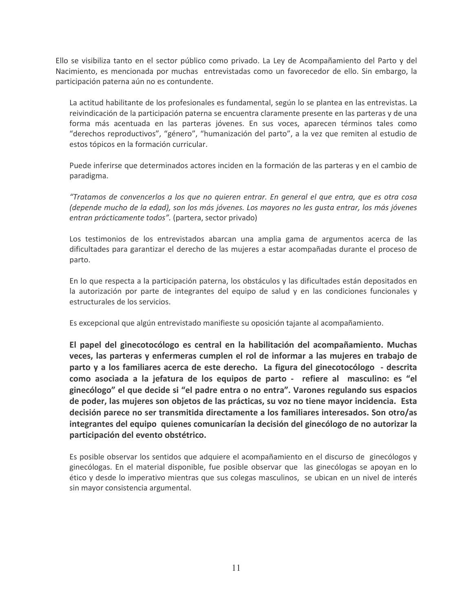Ello se visibiliza tanto en el sector público como privado. La Ley de Acompañamiento del Parto y del Nacimiento, es mencionada por muchas entrevistadas como un favorecedor de ello. Sin embargo, la participación paterna aún no es contundente.

La actitud habilitante de los profesionales es fundamental, según lo se plantea en las entrevistas. La reivindicación de la participación paterna se encuentra claramente presente en las parteras y de una forma más acentuada en las parteras jóvenes. En sus voces, aparecen términos tales como "derechos reproductivos", "género", "humanización del parto", a la vez que remiten al estudio de estos tópicos en la formación curricular.

Puede inferirse que determinados actores inciden en la formación de las parteras y en el cambio de paradigma.

"Tratamos de convencerlos a los que no quieren entrar. En general el que entra, que es otra cosa (depende mucho de la edad), son los más jóvenes. Los mayores no les gusta entrar, los más jóvenes entran prácticamente todos". (partera, sector privado)

Los testimonios de los entrevistados abarcan una amplia gama de argumentos acerca de las dificultades para garantizar el derecho de las mujeres a estar acompañadas durante el proceso de parto.

En lo que respecta a la participación paterna, los obstáculos y las dificultades están depositados en la autorización por parte de integrantes del equipo de salud y en las condiciones funcionales y estructurales de los servicios.

Es excepcional que algún entrevistado manifieste su oposición tajante al acompañamiento.

El papel del ginecotocólogo es central en la habilitación del acompañamiento. Muchas veces, las parteras y enfermeras cumplen el rol de informar a las mujeres en trabajo de parto y a los familiares acerca de este derecho. La figura del ginecotocólogo - descrita como asociada a la jefatura de los equipos de parto - refiere al masculino: es "el ginecólogo" el que decide si "el padre entra o no entra". Varones regulando sus espacios de poder, las mujeres son objetos de las prácticas, su voz no tiene mayor incidencia. Esta decisión parece no ser transmitida directamente a los familiares interesados. Son otro/as integrantes del equipo quienes comunicarían la decisión del ginecólogo de no autorizar la participación del evento obstétrico.

Es posible observar los sentidos que adquiere el acompañamiento en el discurso de ginecólogos y ginecólogas. En el material disponible, fue posible observar que las ginecólogas se apoyan en lo ético y desde lo imperativo mientras que sus colegas masculinos, se ubican en un nivel de interés sin mayor consistencia argumental.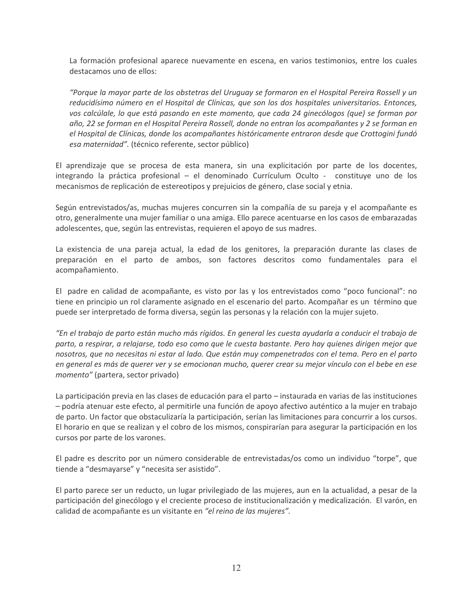La formación profesional aparece nuevamente en escena, en varios testimonios, entre los cuales destacamos uno de ellos:

"Porque la mayor parte de los obstetras del Uruguay se formaron en el Hospital Pereira Rossell y un reducidísimo número en el Hospital de Clínicas, que son los dos hospitales universitarios. Entonces, vos calcúlale, lo que está pasando en este momento, que cada 24 ginecólogos (que) se forman por año, 22 se forman en el Hospital Pereira Rossell, donde no entran los acompañantes y 2 se forman en el Hospital de Clínicas, donde los acompañantes históricamente entraron desde que Crottogini fundó esa maternidad". (técnico referente, sector público)

El aprendizaje que se procesa de esta manera, sin una explicitación por parte de los docentes, integrando la práctica profesional - el denominado Currículum Oculto - constituye uno de los mecanismos de replicación de estereotipos y prejuicios de género, clase social y etnia.

Según entrevistados/as, muchas mujeres concurren sin la compañía de su pareja y el acompañante es otro, generalmente una mujer familiar o una amiga. Ello parece acentuarse en los casos de embarazadas adolescentes, que, según las entrevistas, requieren el apoyo de sus madres.

La existencia de una pareja actual, la edad de los genitores, la preparación durante las clases de preparación en el parto de ambos, son factores descritos como fundamentales para el acompañamiento.

El padre en calidad de acompañante, es visto por las y los entrevistados como "poco funcional": no tiene en principio un rol claramente asignado en el escenario del parto. Acompañar es un término que puede ser interpretado de forma diversa, según las personas y la relación con la mujer sujeto.

"En el trabajo de parto están mucho más rígidos. En general les cuesta ayudarla a conducir el trabajo de parto, a respirar, a relajarse, todo eso como que le cuesta bastante. Pero hay quienes dirigen mejor que nosotros, que no necesitas ni estar al lado. Que están muy compenetrados con el tema. Pero en el parto en general es más de querer ver y se emocionan mucho, querer crear su mejor vínculo con el bebe en ese momento" (partera, sector privado)

La participación previa en las clases de educación para el parto – instaurada en varias de las instituciones - podría atenuar este efecto, al permitirle una función de apoyo afectivo auténtico a la mujer en trabajo de parto. Un factor que obstaculizaría la participación, serían las limitaciones para concurrir a los cursos. El horario en que se realizan y el cobro de los mismos, conspirarían para asegurar la participación en los cursos por parte de los varones.

El padre es descrito por un número considerable de entrevistadas/os como un individuo "torpe", que tiende a "desmayarse" y "necesita ser asistido".

El parto parece ser un reducto, un lugar privilegiado de las mujeres, aun en la actualidad, a pesar de la participación del ginecólogo y el creciente proceso de institucionalización y medicalización. El varón, en calidad de acompañante es un visitante en "el reino de las mujeres".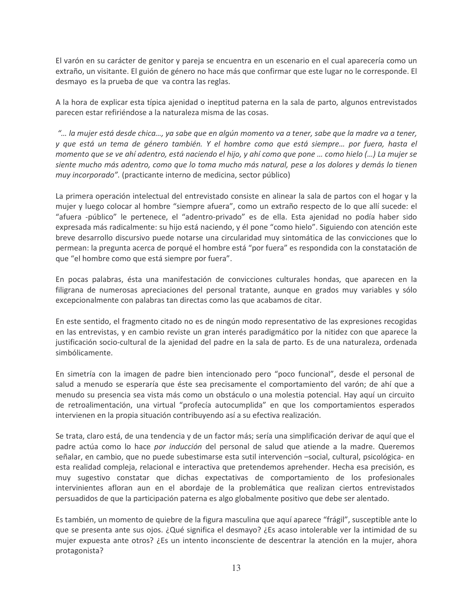El varón en su carácter de genitor y pareja se encuentra en un escenario en el cual aparecería como un extraño, un visitante. El guión de género no hace más que confirmar que este lugar no le corresponde. El desmayo es la prueba de que va contra las reglas.

A la hora de explicar esta típica ajenidad o ineptitud paterna en la sala de parto, algunos entrevistados parecen estar refiriéndose a la naturaleza misma de las cosas.

"... la mujer está desde chica..., ya sabe que en algún momento va a tener, sabe que la madre va a tener, y que está un tema de género también. Y el hombre como que está siempre... por fuera, hasta el momento que se ve ahí adentro, está naciendo el hijo, y ahí como que pone ... como hielo (...) La mujer se siente mucho más adentro, como que lo toma mucho más natural, pese a los dolores y demás lo tienen muy incorporado". (practicante interno de medicina, sector público)

La primera operación intelectual del entrevistado consiste en alinear la sala de partos con el hogar y la mujer y luego colocar al hombre "siempre afuera", como un extraño respecto de lo que allí sucede: el "afuera -público" le pertenece, el "adentro-privado" es de ella. Esta ajenidad no podía haber sido expresada más radicalmente: su hijo está naciendo, y él pone "como hielo". Siguiendo con atención este breve desarrollo discursivo puede notarse una circularidad muy sintomática de las convicciones que lo permean: la pregunta acerca de porqué el hombre está "por fuera" es respondida con la constatación de que "el hombre como que está siempre por fuera".

En pocas palabras, ésta una manifestación de convicciones culturales hondas, que aparecen en la filigrana de numerosas apreciaciones del personal tratante, aunque en grados muy variables y sólo excepcionalmente con palabras tan directas como las que acabamos de citar.

En este sentido, el fragmento citado no es de ningún modo representativo de las expresiones recogidas en las entrevistas, y en cambio reviste un gran interés paradigmático por la nitidez con que aparece la justificación socio-cultural de la ajenidad del padre en la sala de parto. Es de una naturaleza, ordenada simbólicamente.

En simetría con la imagen de padre bien intencionado pero "poco funcional", desde el personal de salud a menudo se esperaría que éste sea precisamente el comportamiento del varón; de ahí que a menudo su presencia sea vista más como un obstáculo o una molestia potencial. Hay aquí un circuito de retroalimentación, una virtual "profecía autocumplida" en que los comportamientos esperados intervienen en la propia situación contribuyendo así a su efectiva realización.

Se trata, claro está, de una tendencia y de un factor más; sería una simplificación derivar de aquí que el padre actúa como lo hace por inducción del personal de salud que atiende a la madre. Queremos señalar, en cambio, que no puede subestimarse esta sutil intervención -social, cultural, psicológica- en esta realidad compleja, relacional e interactiva que pretendemos aprehender. Hecha esa precisión, es muy sugestivo constatar que dichas expectativas de comportamiento de los profesionales intervinientes afloran aun en el abordaje de la problemática que realizan ciertos entrevistados persuadidos de que la participación paterna es algo globalmente positivo que debe ser alentado.

Es también, un momento de quiebre de la figura masculina que aquí aparece "frágil", susceptible ante lo que se presenta ante sus ojos. ¿Qué significa el desmayo? ¿Es acaso intolerable ver la intimidad de su mujer expuesta ante otros? ¿Es un intento inconsciente de descentrar la atención en la mujer, ahora protagonista?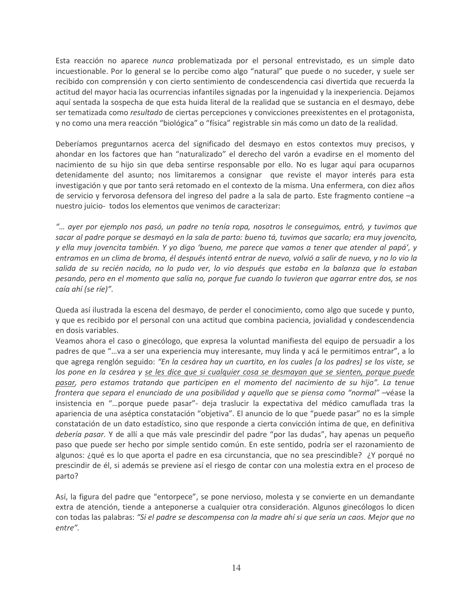Esta reacción no aparece nunca problematizada por el personal entrevistado, es un simple dato incuestionable. Por lo general se lo percibe como algo "natural" que puede o no suceder, y suele ser recibido con comprensión y con cierto sentimiento de condescendencia casi divertida que recuerda la actitud del mayor hacia las ocurrencias infantiles signadas por la ingenuidad y la inexperiencia. Dejamos aquí sentada la sospecha de que esta huida literal de la realidad que se sustancia en el desmayo, debe ser tematizada como resultado de ciertas percepciones y convicciones preexistentes en el protagonista, y no como una mera reacción "biológica" o "física" registrable sin más como un dato de la realidad.

Deberíamos preguntarnos acerca del significado del desmayo en estos contextos muy precisos, y ahondar en los factores que han "naturalizado" el derecho del varón a evadirse en el momento del nacimiento de su hijo sin que deba sentirse responsable por ello. No es lugar aquí para ocuparnos detenidamente del asunto; nos limitaremos a consignar que reviste el mayor interés para esta investigación y que por tanto será retomado en el contexto de la misma. Una enfermera, con diez años de servicio y fervorosa defensora del ingreso del padre a la sala de parto. Este fragmento contiene -a nuestro juicio- todos los elementos que venimos de caracterizar:

"... ayer por ejemplo nos pasó, un padre no tenía ropa, nosotros le conseguimos, entró, y tuvimos que sacar al padre porque se desmayó en la sala de parto: bueno tá, tuvimos que sacarlo; era muy jovencito, y ella muy jovencita también. Y yo digo 'bueno, me parece que vamos a tener que atender al papá', y entramos en un clima de broma, él después intentó entrar de nuevo, volvió a salir de nuevo, y no lo vio la salida de su recién nacido, no lo pudo ver, lo vio después que estaba en la balanza que lo estaban pesando, pero en el momento que salía no, porque fue cuando lo tuvieron que agarrar entre dos, se nos caía ahí (se ríe)".

Queda así ilustrada la escena del desmayo, de perder el conocimiento, como algo que sucede y punto, y que es recibido por el personal con una actitud que combina paciencia, jovialidad y condescendencia en dosis variables.

Veamos ahora el caso o ginecólogo, que expresa la voluntad manifiesta del equipo de persuadir a los padres de que "...va a ser una experiencia muy interesante, muy linda y acá le permitimos entrar", a lo que agrega renglón seguido: "En la cesárea hay un cuartito, en los cuales (a los padres) se los viste, se los pone en la cesárea y se les dice que si cualquier cosa se desmayan que se sienten, porque puede pasar, pero estamos tratando que participen en el momento del nacimiento de su hijo". La tenue frontera que separa el enunciado de una posibilidad y aquello que se piensa como "normal" –véase la insistencia en "...porque puede pasar"- deja traslucir la expectativa del médico camuflada tras la apariencia de una aséptica constatación "objetiva". El anuncio de lo que "puede pasar" no es la simple constatación de un dato estadístico, sino que responde a cierta convicción íntima de que, en definitiva *debería pasar.* Y de allí a que más vale prescindir del padre "por las dudas", hay apenas un pequeño paso que puede ser hecho por simple sentido común. En este sentido, podría ser el razonamiento de algunos: ¿qué es lo que aporta el padre en esa circunstancia, que no sea prescindible? ¿Y porqué no prescindir de él, si además se previene así el riesgo de contar con una molestia extra en el proceso de parto?

Así, la figura del padre que "entorpece", se pone nervioso, molesta y se convierte en un demandante extra de atención, tiende a anteponerse a cualquier otra consideración. Algunos ginecólogos lo dicen con todas las palabras: "Si el padre se descompensa con la madre ahí si que sería un caos. Mejor que no entre".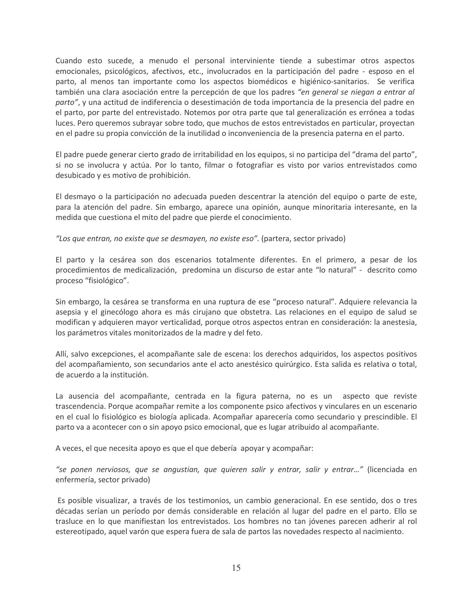Cuando esto sucede, a menudo el personal interviniente tiende a subestimar otros aspectos emocionales, psicológicos, afectivos, etc., involucrados en la participación del padre - esposo en el parto, al menos tan importante como los aspectos biomédicos e higiénico-sanitarios. Se verifica también una clara asociación entre la percepción de que los padres "en general se niegan a entrar al parto", y una actitud de indiferencia o desestimación de toda importancia de la presencia del padre en el parto, por parte del entrevistado. Notemos por otra parte que tal generalización es errónea a todas luces. Pero queremos subrayar sobre todo, que muchos de estos entrevistados en particular, proyectan en el padre su propia convicción de la inutilidad o inconveniencia de la presencia paterna en el parto.

El padre puede generar cierto grado de irritabilidad en los equipos, si no participa del "drama del parto", si no se involucra y actúa. Por lo tanto, filmar o fotografiar es visto por varios entrevistados como desubicado y es motivo de prohibición.

El desmayo o la participación no adecuada pueden descentrar la atención del equipo o parte de este, para la atención del padre. Sin embargo, aparece una opinión, aunque minoritaria interesante, en la medida que cuestiona el mito del padre que pierde el conocimiento.

"Los que entran, no existe que se desmayen, no existe eso". (partera, sector privado)

El parto y la cesárea son dos escenarios totalmente diferentes. En el primero, a pesar de los procedimientos de medicalización, predomina un discurso de estar ante "lo natural" - descrito como proceso "fisiológico".

Sin embargo, la cesárea se transforma en una ruptura de ese "proceso natural". Adquiere relevancia la asepsia y el ginecólogo ahora es más cirujano que obstetra. Las relaciones en el equipo de salud se modifican y adquieren mayor verticalidad, porque otros aspectos entran en consideración: la anestesia, los parámetros vitales monitorizados de la madre y del feto.

Allí, salvo excepciones, el acompañante sale de escena: los derechos adquiridos, los aspectos positivos del acompañamiento, son secundarios ante el acto anestésico quirúrgico. Esta salida es relativa o total, de acuerdo a la institución.

La ausencia del acompañante, centrada en la figura paterna, no es un aspecto que reviste trascendencia. Porque acompañar remite a los componente psico afectivos y vinculares en un escenario en el cual lo fisiológico es biología aplicada. Acompañar aparecería como secundario y prescindible. El parto va a acontecer con o sin apoyo psico emocional, que es lugar atribuido al acompañante.

A veces, el que necesita apoyo es que el que debería apoyar y acompañar:

"se ponen nerviosos, que se angustian, que quieren salir y entrar, salir y entrar..." (licenciada en enfermería, sector privado)

Es posible visualizar, a través de los testimonios, un cambio generacional. En ese sentido, dos o tres décadas serían un período por demás considerable en relación al lugar del padre en el parto. Ello se trasluce en lo que manifiestan los entrevistados. Los hombres no tan jóvenes parecen adherir al rol estereotipado, aquel varón que espera fuera de sala de partos las novedades respecto al nacimiento.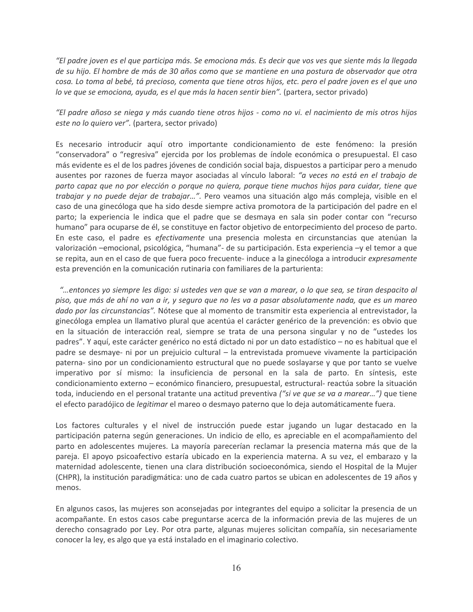"El padre joven es el que participa más. Se emociona más. Es decir que vos ves que siente más la llegada de su hijo. El hombre de más de 30 años como que se mantiene en una postura de observador que otra cosa. Lo toma al bebé, tá precioso, comenta que tiene otros hijos, etc. pero el padre joven es el que uno lo ve que se emociona, ayuda, es el que más la hacen sentir bien". (partera, sector privado)

"El padre añoso se niega y más cuando tiene otros hijos - como no vi. el nacimiento de mis otros hijos este no lo quiero ver". (partera, sector privado)

Es necesario introducir aquí otro importante condicionamiento de este fenómeno: la presión "conservadora" o "regresiva" ejercida por los problemas de índole económica o presupuestal. El caso más evidente es el de los padres jóvenes de condición social baja, dispuestos a participar pero a menudo ausentes por razones de fuerza mayor asociadas al vínculo laboral: "a veces no está en el trabajo de parto capaz que no por elección o porque no quiera, porque tiene muchos hijos para cuidar, tiene que trabajar y no puede dejar de trabajar...". Pero veamos una situación algo más compleja, visible en el caso de una ginecóloga que ha sido desde siempre activa promotora de la participación del padre en el parto; la experiencia le indica que el padre que se desmaya en sala sin poder contar con "recurso humano" para ocuparse de él, se constituye en factor objetivo de entorpecimiento del proceso de parto. En este caso, el padre es efectivamente una presencia molesta en circunstancias que atenúan la valorización -emocional, psicológica, "humana" - de su participación. Esta experiencia -y el temor a que se repita, aun en el caso de que fuera poco frecuente- induce a la ginecóloga a introducir expresamente esta prevención en la comunicación rutinaria con familiares de la parturienta:

entonces yo siempre les digo: si ustedes ven que se van a marear, o lo que sea, se tiran despacito al..." piso, que más de ahí no van a ir, y seguro que no les va a pasar absolutamente nada, que es un mareo dado por las circunstancias". Nótese que al momento de transmitir esta experiencia al entrevistador, la ginecóloga emplea un llamativo plural que acentúa el carácter genérico de la prevención: es obvio que en la situación de interacción real, siempre se trata de una persona singular y no de "ustedes los padres". Y aquí, este carácter genérico no está dictado ni por un dato estadístico - no es habitual que el padre se desmaye- ni por un prejuicio cultural – la entrevistada promueve vivamente la participación paterna- sino por un condicionamiento estructural que no puede soslavarse y que por tanto se vuelve imperativo por sí mismo: la insuficiencia de personal en la sala de parto. En síntesis, este condicionamiento externo - económico financiero, presupuestal, estructural- reactúa sobre la situación toda, induciendo en el personal tratante una actitud preventiva ("si ve que se va a marear...") que tiene el efecto paradójico de legitimar el mareo o desmayo paterno que lo deja automáticamente fuera.

Los factores culturales y el nivel de instrucción puede estar jugando un lugar destacado en la participación paterna según generaciones. Un indicio de ello, es apreciable en el acompañamiento del parto en adolescentes mujeres. La mayoría parecerían reclamar la presencia materna más que de la pareja. El apoyo psicoafectivo estaría ubicado en la experiencia materna. A su vez, el embarazo y la maternidad adolescente, tienen una clara distribución socioeconómica, siendo el Hospital de la Mujer (CHPR), la institución paradigmática: uno de cada cuatro partos se ubican en adolescentes de 19 años y menos.

En algunos casos, las mujeres son aconsejadas por integrantes del equipo a solicitar la presencia de un acompañante. En estos casos cabe preguntarse acerca de la información previa de las mujeres de un derecho consagrado por Ley. Por otra parte, algunas mujeres solicitan compañía, sin necesariamente conocer la ley, es algo que ya está instalado en el imaginario colectivo.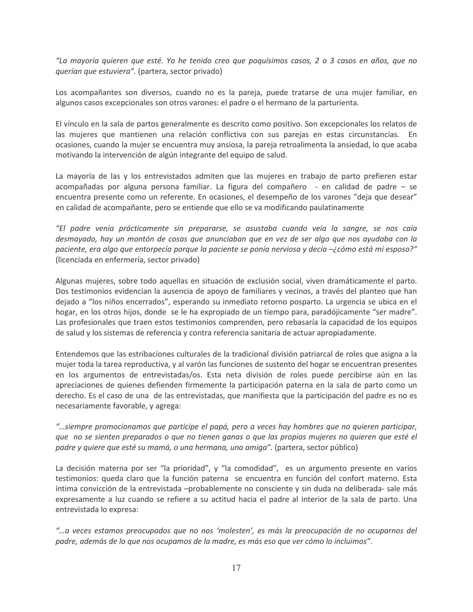La mayoría quieren que esté. Yo he tenido creo que poquísimos casos, 2 o 3 casos en años, que no querían que estuviera". (partera, sector privado)

Los acompañantes son diversos, cuando no es la pareja, puede tratarse de una mujer familiar, en algunos casos excepcionales son otros varones: el padre o el hermano de la parturienta.

El vínculo en la sala de partos generalmente es descrito como positivo. Son excepcionales los relatos de las mujeres que mantienen una relación conflictiva con sus parejas en estas circunstancias. En ocasiones, cuando la mujer se encuentra muy ansiosa, la pareja retroalimenta la ansiedad, lo que acaba motivando la intervención de algún integrante del equipo de salud.

La mayoría de las y los entrevistados admiten que las mujeres en trabajo de parto prefieren estar acompañadas por alguna persona familiar. La figura del compañero - en calidad de padre - se encuentra presente como un referente. En ocasiones, el desempeño de los varones "deja que desear" en calidad de acompañante, pero se entiende que ello se va modificando paulatinamente

"El padre venía prácticamente sin prepararse, se asustaba cuando veía la sangre, se nos caía desmayado, hay un montón de cosas que anunciaban que en vez de ser algo que nos ayudaba con la paciente, era algo que entorpecía porque la paciente se ponía nerviosa y decía -¿cómo está mi esposo?" (licenciada en enfermería, sector privado)

Algunas mujeres, sobre todo aquellas en situación de exclusión social, viven dramáticamente el parto. Dos testimonios evidencian la ausencia de apoyo de familiares y vecinos, a través del planteo que han dejado a "los niños encerrados", esperando su inmediato retorno posparto. La urgencia se ubica en el hogar, en los otros hijos, donde se le ha expropiado de un tiempo para, paradójicamente "ser madre". Las profesionales que traen estos testimonios comprenden, pero rebasaría la capacidad de los equipos de salud y los sistemas de referencia y contra referencia sanitaria de actuar apropiadamente.

Entendemos que las estribaciones culturales de la tradicional división patriarcal de roles que asigna a la mujer toda la tarea reproductiva, y al varón las funciones de sustento del hogar se encuentran presentes en los argumentos de entrevistadas/os. Esta neta división de roles puede percibirse aún en las apreciaciones de quienes defienden firmemente la participación paterna en la sala de parto como un derecho. Es el caso de una de las entrevistadas, que manifiesta que la participación del padre es no es necesariamente favorable, y agrega:

"...siempre promocionamos que participe el papá, pero a veces hay hombres que no quieren participar, que no se sienten preparados o que no tienen ganas o que las propias mujeres no quieren que esté el padre y quiere que esté su mamá, o una hermana, una amiga". (partera, sector público)

La decisión materna por ser "la prioridad", y "la comodidad", es un argumento presente en varios testimonios: queda claro que la función paterna se encuentra en función del confort materno. Esta íntima convicción de la entrevistada -probablemente no consciente y sin duda no deliberada- sale más expresamente a luz cuando se refiere a su actitud hacia el padre al interior de la sala de parto. Una entrevistada lo expresa:

a veces estamos preocupados que no nos 'molesten', es más la preocupación de no ocuparnos del..." padre, además de lo que nos ocupamos de la madre, es más eso que ver cómo lo incluimos".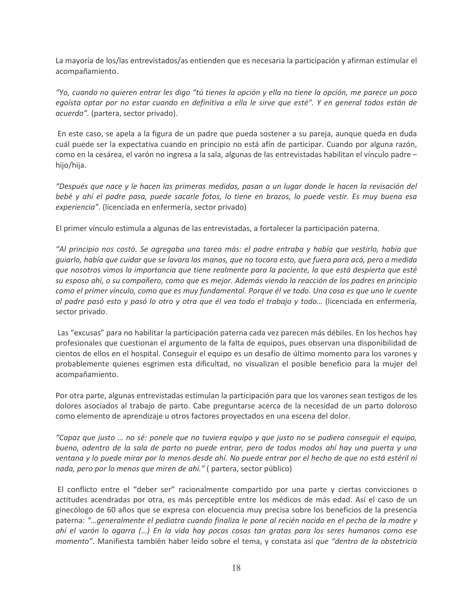La mayoría de los/las entrevistados/as entienden que es necesaria la participación y afirman estimular el acompañamiento.

"Yo, cuando no quieren entrar les digo "tú tienes la opción y ella no tiene la opción, me parece un poco egoísta optar por no estar cuando en definitiva a ella le sirve que esté". Y en general todos están de acuerdo". (partera, sector privado).

En este caso, se apela a la figura de un padre que pueda sostener a su pareja, aunque queda en duda cuál puede ser la expectativa cuando en principio no está afín de participar. Cuando por alguna razón, como en la cesárea, el varón no ingresa a la sala, algunas de las entrevistadas habilitan el vínculo padre – hijo/hija.

"Después que nace y le hacen las primeras medidas, pasan a un lugar donde le hacen la revisación del bebé y ahí el padre pasa, puede sacarle fotos, lo tiene en brazos, lo puede vestir. Es muy buena esa experiencia". (licenciada en enfermería, sector privado)

El primer vínculo estimula a algunas de las entrevistadas, a fortalecer la participación paterna.

"Al principio nos costó. Se agregaba una tarea más: el padre entraba y había que vestirlo, había que guiarlo, había que cuidar que se lavara las manos, que no tocara esto, que fuera para acá, pero a medida que nosotros vimos la importancia que tiene realmente para la paciente, la que está despierta que esté su esposo ahí, o su compañero, como que es mejor. Además viendo la reacción de los padres en principio como el primer vínculo, como que es muy fundamental. Porque él ve todo. Una cosa es que uno le cuente al padre pasó esto y pasó lo otro y otra que él vea todo el trabajo y todo... (licenciada en enfermería, sector privado.

Las "excusas" para no habilitar la participación paterna cada vez parecen más débiles. En los hechos hay profesionales que cuestionan el argumento de la falta de equipos, pues observan una disponibilidad de cientos de ellos en el hospital. Conseguir el equipo es un desafío de último momento para los varones y probablemente quienes esgrimen esta dificultad, no visualizan el posible beneficio para la mujer del acompañamiento.

Por otra parte, algunas entrevistadas estimulan la participación para que los varones sean testigos de los dolores asociados al trabajo de parto. Cabe preguntarse acerca de la necesidad de un parto doloroso como elemento de aprendizaje u otros factores proyectados en una escena del dolor.

"Capaz que justo ... no sé: ponele que no tuviera equipo y que justo no se pudiera conseguir el equipo, bueno, adentro de la sala de parto no puede entrar, pero de todos modos ahí hay una puerta y una ventana y lo puede mirar por lo menos desde ahí. No puede entrar por el hecho de que no está estéril ni nada, pero por lo menos que miren de ahí." (partera, sector público)

El conflicto entre el "deber ser" racionalmente compartido por una parte y ciertas convicciones o actitudes acendradas por otra, es más perceptible entre los médicos de más edad. Así el caso de un ginecólogo de 60 años que se expresa con elocuencia muy precisa sobre los beneficios de la presencia paterna: "...generalmente el pediatra cuando finaliza le pone al recién nacido en el pecho de la madre y ahí el varón lo agarra (...) En la vida hay pocas cosas tan gratas para los seres humanos como ese momento". Manifiesta también haber leído sobre el tema, y constata así que "dentro de la obstetricia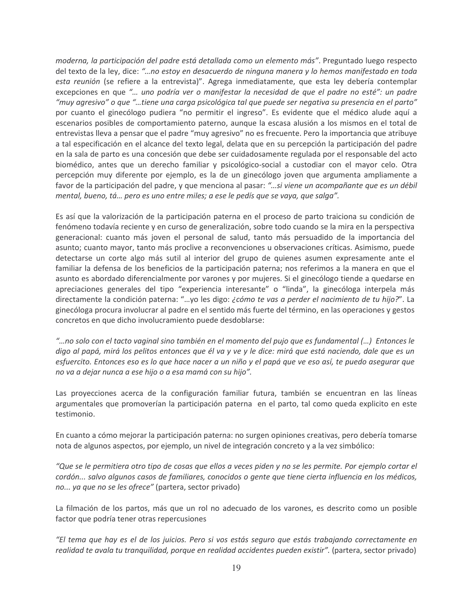moderna, la participación del padre está detallada como un elemento más". Preguntado luego respecto del texto de la ley, dice: "...no estoy en desacuerdo de ninguna manera y lo hemos manifestado en toda esta reunión (se refiere a la entrevista)". Agrega inmediatamente, que esta ley debería contemplar excepciones en que "... uno podría ver o manifestar la necesidad de que el padre no esté": un padre "muy agresivo" o que "...tiene una carga psicológica tal que puede ser negativa su presencia en el parto" por cuanto el ginecólogo pudiera "no permitir el ingreso". Es evidente que el médico alude aquí a escenarios posibles de comportamiento paterno, aunque la escasa alusión a los mismos en el total de entrevistas lleva a pensar que el padre "muy agresivo" no es frecuente. Pero la importancia que atribuye a tal especificación en el alcance del texto legal, delata que en su percepción la participación del padre en la sala de parto es una concesión que debe ser cuidadosamente regulada por el responsable del acto biomédico, antes que un derecho familiar y psicológico-social a custodiar con el mayor celo. Otra percepción muy diferente por ejemplo, es la de un ginecólogo joven que argumenta ampliamente a favor de la participación del padre, y que menciona al pasar: "...si viene un acompañante que es un débil mental, bueno, tá... pero es uno entre miles; a ese le pedís que se vaya, que salga".

Es así que la valorización de la participación paterna en el proceso de parto traiciona su condición de fenómeno todavía reciente y en curso de generalización, sobre todo cuando se la mira en la perspectiva generacional: cuanto más joven el personal de salud, tanto más persuadido de la importancia del asunto; cuanto mayor, tanto más proclive a reconvenciones u observaciones críticas. Asimismo, puede detectarse un corte algo más sutil al interior del grupo de quienes asumen expresamente ante el familiar la defensa de los beneficios de la participación paterna; nos referimos a la manera en que el asunto es abordado diferencialmente por varones y por mujeres. Si el ginecólogo tiende a quedarse en apreciaciones generales del tipo "experiencia interesante" o "linda", la ginecóloga interpela más directamente la condición paterna: "...yo les digo: ¿cómo te vas a perder el nacimiento de tu hijo?". La ginecóloga procura involucrar al padre en el sentido más fuerte del término, en las operaciones y gestos concretos en que dicho involucramiento puede desdoblarse:

"...no solo con el tacto vaginal sino también en el momento del pujo que es fundamental (...) Entonces le digo al papá, mirá los pelitos entonces que él va y ve y le dice: mirá que está naciendo, dale que es un esfuercito. Entonces eso es lo que hace nacer a un niño y el papá que ve eso así, te puedo asegurar que no va a dejar nunca a ese hijo o a esa mamá con su hijo".

Las proyecciones acerca de la configuración familiar futura, también se encuentran en las líneas argumentales que promoverían la participación paterna en el parto, tal como queda explicito en este testimonio.

En cuanto a cómo mejorar la participación paterna: no surgen opiniones creativas, pero debería tomarse nota de algunos aspectos, por ejemplo, un nivel de integración concreto y a la vez simbólico:

"Que se le permitiera otro tipo de cosas que ellos a veces piden y no se les permite. Por ejemplo cortar el cordón... salvo algunos casos de familiares, conocidos o gente que tiene cierta influencia en los médicos, no... ya que no se les ofrece" (partera, sector privado)

La filmación de los partos, más que un rol no adecuado de los varones, es descrito como un posible factor que podría tener otras repercusiones

"El tema que hay es el de los juicios. Pero si vos estás seguro que estás trabajando correctamente en realidad te avala tu tranguilidad, porque en realidad accidentes pueden existir". (partera, sector privado)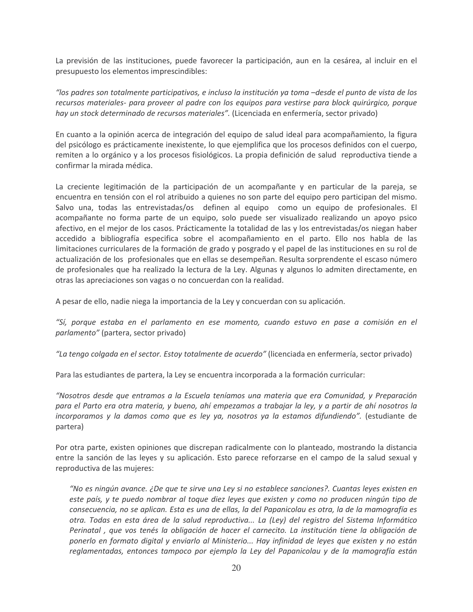La previsión de las instituciones, puede favorecer la participación, aun en la cesárea, al incluir en el presupuesto los elementos imprescindibles:

"los padres son totalmente participativos, e incluso la institución ya toma -desde el punto de vista de los recursos materiales- para proveer al padre con los equipos para vestirse para block quirúrgico, porque hay un stock determinado de recursos materiales". (Licenciada en enfermería, sector privado)

En cuanto a la opinión acerca de integración del equipo de salud ideal para acompañamiento, la figura del psicólogo es prácticamente inexistente, lo que ejemplifica que los procesos definidos con el cuerpo, remiten a lo orgánico y a los procesos fisiológicos. La propia definición de salud reproductiva tiende a confirmar la mirada médica.

La creciente legitimación de la participación de un acompañante y en particular de la pareja, se encuentra en tensión con el rol atribuido a quienes no son parte del equipo pero participan del mismo. Salvo una, todas las entrevistadas/os definen al equipo como un equipo de profesionales. El acompañante no forma parte de un equipo, solo puede ser visualizado realizando un apoyo psico afectivo, en el mejor de los casos. Prácticamente la totalidad de las y los entrevistadas/os niegan haber accedido a bibliografía especifica sobre el acompañamiento en el parto. Ello nos habla de las limitaciones curriculares de la formación de grado y posgrado y el papel de las instituciones en su rol de actualización de los profesionales que en ellas se desempeñan. Resulta sorprendente el escaso número de profesionales que ha realizado la lectura de la Ley. Algunas y algunos lo admiten directamente, en otras las apreciaciones son vagas o no concuerdan con la realidad.

A pesar de ello, nadie niega la importancia de la Ley y concuerdan con su aplicación.

"Sí, porque estaba en el parlamento en ese momento, cuando estuvo en pase a comisión en el parlamento" (partera, sector privado)

"La tengo colgada en el sector. Estoy totalmente de acuerdo" (licenciada en enfermería, sector privado)

Para las estudiantes de partera, la Ley se encuentra incorporada a la formación curricular:

"Nosotros desde que entramos a la Escuela teníamos una materia que era Comunidad, y Preparación para el Parto era otra materia, y bueno, ahí empezamos a trabajar la ley, y a partir de ahí nosotros la incorporamos y la damos como que es ley ya, nosotros ya la estamos difundiendo". (estudiante de partera)

Por otra parte, existen opiniones que discrepan radicalmente con lo planteado, mostrando la distancia entre la sanción de las leyes y su aplicación. Esto parece reforzarse en el campo de la salud sexual y reproductiva de las mujeres:

"No es ningún avance. ¿De que te sirve una Ley si no establece sanciones?. Cuantas leyes existen en este país, y te puedo nombrar al toque diez leyes que existen y como no producen ningún tipo de consecuencia, no se aplican. Esta es una de ellas, la del Papanicolau es otra, la de la mamografía es otra. Todas en esta área de la salud reproductiva... La (Ley) del registro del Sistema Informático Perinatal, que vos tenés la obligación de hacer el carnecito. La institución tiene la obligación de ponerlo en formato digital y enviarlo al Ministerio... Hay infinidad de leyes que existen y no están reglamentadas, entonces tampoco por ejemplo la Ley del Papanicolau y de la mamografía están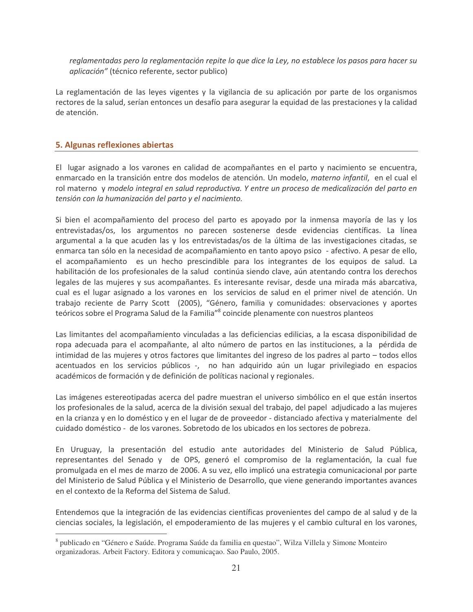reglamentadas pero la reglamentación repite lo que dice la Ley, no establece los pasos para hacer su aplicación" (técnico referente, sector publico)

La reglamentación de las leves vigentes y la vigilancia de su aplicación por parte de los organismos rectores de la salud, serían entonces un desafío para asegurar la equidad de las prestaciones y la calidad de atención.

## 5. Algunas reflexiones abiertas

El lugar asignado a los varones en calidad de acompañantes en el parto y nacimiento se encuentra, enmarcado en la transición entre dos modelos de atención. Un modelo, materno infantil, en el cual el rol materno y modelo integral en salud reproductiva. Y entre un proceso de medicalización del parto en tensión con la humanización del parto y el nacimiento.

Si bien el acompañamiento del proceso del parto es apoyado por la inmensa mayoría de las y los entrevistadas/os, los argumentos no parecen sostenerse desde evidencias científicas. La línea argumental a la que acuden las y los entrevistadas/os de la última de las investigaciones citadas, se enmarca tan sólo en la necesidad de acompañamiento en tanto apoyo psico - afectivo. A pesar de ello, el acompañamiento es un hecho prescindible para los integrantes de los equipos de salud. La habilitación de los profesionales de la salud continúa siendo clave, aún atentando contra los derechos legales de las mujeres y sus acompañantes. Es interesante revisar, desde una mirada más abarcativa, cual es el lugar asignado a los varones en los servicios de salud en el primer nivel de atención. Un trabajo reciente de Parry Scott (2005), "Género, familia y comunidades: observaciones y aportes teóricos sobre el Programa Salud de la Familia"<sup>8</sup> coincide plenamente con nuestros planteos

Las limitantes del acompañamiento vinculadas a las deficiencias edilicias, a la escasa disponibilidad de ropa adecuada para el acompañante, al alto número de partos en las instituciones, a la pérdida de intimidad de las mujeres y otros factores que limitantes del ingreso de los padres al parto – todos ellos acentuados en los servicios públicos -, no han adquirido aún un lugar privilegiado en espacios académicos de formación y de definición de políticas nacional y regionales.

Las imágenes estereotipadas acerca del padre muestran el universo simbólico en el que están insertos los profesionales de la salud, acerca de la división sexual del trabajo, del papel adjudicado a las mujeres en la crianza y en lo doméstico y en el lugar de de proveedor - distanciado afectiva y materialmente del cuidado doméstico - de los varones. Sobretodo de los ubicados en los sectores de pobreza.

En Uruguay, la presentación del estudio ante autoridades del Ministerio de Salud Pública, representantes del Senado y de OPS, generó el compromiso de la reglamentación, la cual fue promulgada en el mes de marzo de 2006. A su vez, ello implicó una estrategia comunicacional por parte del Ministerio de Salud Pública y el Ministerio de Desarrollo, que viene generando importantes avances en el contexto de la Reforma del Sistema de Salud.

Entendemos que la integración de las evidencias científicas provenientes del campo de al salud y de la ciencias sociales, la legislación, el empoderamiento de las mujeres y el cambio cultural en los varones,

<sup>&</sup>lt;sup>8</sup> publicado en "Género e Saúde. Programa Saúde da familia en questao", Wilza Villela y Simone Monteiro organizadoras. Arbeit Factory. Editora y comunicação. São Paulo, 2005.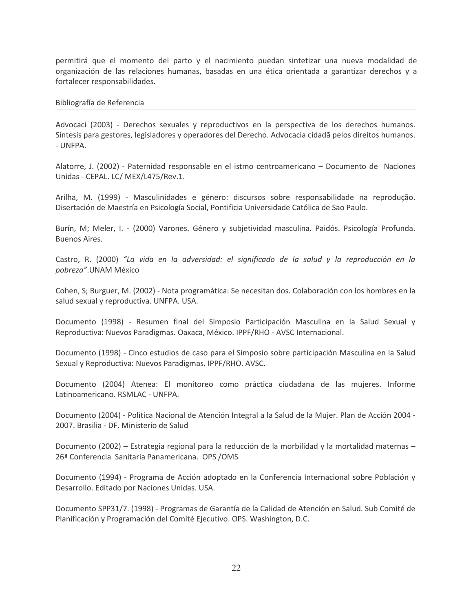permitirá que el momento del parto y el nacimiento puedan sintetizar una nueva modalidad de organización de las relaciones humanas, basadas en una ética orientada a garantizar derechos y a fortalecer responsabilidades.

#### Bibliografía de Referencia

Advocaci (2003) - Derechos sexuales y reproductivos en la perspectiva de los derechos humanos. Síntesis para gestores, legisladores y operadores del Derecho. Advocacia cidadã pelos direitos humanos. - UNFPA.

Alatorre, J. (2002) - Paternidad responsable en el istmo centroamericano - Documento de Naciones Unidas - CEPAL. LC/ MEX/L475/Rev.1.

Arilha, M. (1999) - Masculinidades e género: discursos sobre responsabilidade na reprodução. Disertación de Maestría en Psicología Social, Pontificia Universidade Católica de Sao Paulo.

Burín, M; Meler, I. - (2000) Varones. Género y subjetividad masculina. Paidós. Psicología Profunda. **Buenos Aires.** 

Castro, R. (2000) "La vida en la adversidad: el significado de la salud y la reproducción en la pobreza".UNAM México

Cohen, S; Burguer, M. (2002) - Nota programática: Se necesitan dos. Colaboración con los hombres en la salud sexual y reproductiva. UNFPA. USA.

Documento (1998) - Resumen final del Simposio Participación Masculina en la Salud Sexual y Reproductiva: Nuevos Paradigmas. Oaxaca, México. IPPF/RHO - AVSC Internacional.

Documento (1998) - Cinco estudios de caso para el Simposio sobre participación Masculina en la Salud Sexual y Reproductiva: Nuevos Paradigmas. IPPF/RHO. AVSC.

Documento (2004) Atenea: El monitoreo como práctica ciudadana de las mujeres. Informe Latinoamericano, RSMLAC - UNFPA.

Documento (2004) - Política Nacional de Atención Integral a la Salud de la Mujer. Plan de Acción 2004 -2007. Brasilia - DF. Ministerio de Salud

Documento (2002) – Estrategia regional para la reducción de la morbilidad y la mortalidad maternas – 26<sup>ª</sup> Conferencia Sanitaria Panamericana. OPS/OMS

Documento (1994) - Programa de Acción adoptado en la Conferencia Internacional sobre Población y Desarrollo. Editado por Naciones Unidas. USA.

Documento SPP31/7. (1998) - Programas de Garantía de la Calidad de Atención en Salud. Sub Comité de Planificación y Programación del Comité Ejecutivo. OPS. Washington, D.C.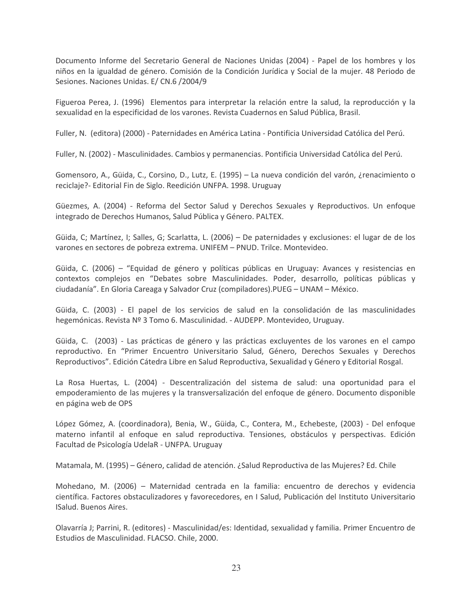Documento Informe del Secretario General de Naciones Unidas (2004) - Papel de los hombres y los niños en la igualdad de género. Comisión de la Condición Jurídica y Social de la mujer. 48 Periodo de Sesiones. Naciones Unidas. E/CN.6 /2004/9

Figueroa Perea, J. (1996) Elementos para interpretar la relación entre la salud, la reproducción y la sexualidad en la especificidad de los varones. Revista Cuadernos en Salud Pública, Brasil.

Fuller, N. (editora) (2000) - Paternidades en América Latina - Pontificia Universidad Católica del Perú.

Fuller, N. (2002) - Masculinidades. Cambios y permanencias. Pontificia Universidad Católica del Perú.

Gomensoro, A., Güida, C., Corsino, D., Lutz, E. (1995) – La nueva condición del varón, ¿renacimiento o reciclaje?- Editorial Fin de Siglo. Reedición UNFPA. 1998. Uruguay

Güezmes, A. (2004) - Reforma del Sector Salud y Derechos Sexuales y Reproductivos. Un enfoque integrado de Derechos Humanos, Salud Pública y Género. PALTEX.

Güida, C; Martínez, I; Salles, G; Scarlatta, L. (2006) - De paternidades y exclusiones: el lugar de de los varones en sectores de pobreza extrema. UNIFEM - PNUD. Trilce. Montevideo.

Güida, C. (2006) – "Equidad de género y políticas públicas en Uruguay: Avances y resistencias en contextos complejos en "Debates sobre Masculinidades. Poder, desarrollo, políticas públicas y ciudadanía". En Gloria Careaga y Salvador Cruz (compiladores).PUEG - UNAM - México.

Güida, C. (2003) - El papel de los servicios de salud en la consolidación de las masculinidades hegemónicas. Revista Nº 3 Tomo 6. Masculinidad. - AUDEPP. Montevideo, Uruguay.

Güida, C. (2003) - Las prácticas de género y las prácticas excluyentes de los varones en el campo reproductivo. En "Primer Encuentro Universitario Salud, Género, Derechos Sexuales y Derechos Reproductivos". Edición Cátedra Libre en Salud Reproductiva, Sexualidad y Género y Editorial Rosgal.

La Rosa Huertas, L. (2004) - Descentralización del sistema de salud: una oportunidad para el empoderamiento de las mujeres y la transversalización del enfoque de género. Documento disponible en página web de OPS

López Gómez, A. (coordinadora), Benia, W., Güida, C., Contera, M., Echebeste, (2003) - Del enfoque materno infantil al enfoque en salud reproductiva. Tensiones, obstáculos y perspectivas. Edición Facultad de Psicología UdelaR - UNFPA. Uruguay

Matamala, M. (1995) – Género, calidad de atención. ¿Salud Reproductiva de las Mujeres? Ed. Chile

Mohedano, M. (2006) - Maternidad centrada en la familia: encuentro de derechos y evidencia científica. Factores obstaculizadores y favorecedores, en I Salud, Publicación del Instituto Universitario ISalud. Buenos Aires.

Olavarría J; Parrini, R. (editores) - Masculinidad/es: Identidad, sexualidad y familia. Primer Encuentro de Estudios de Masculinidad. FLACSO. Chile, 2000.